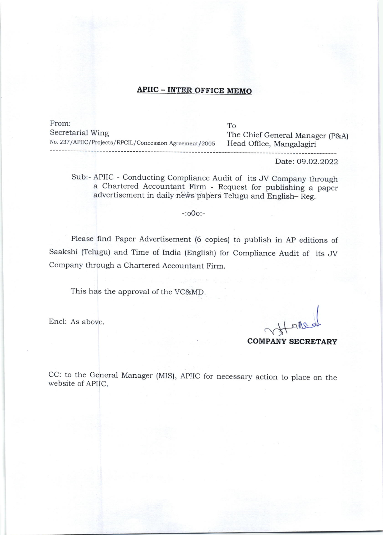## APIIC - INTER OFFICE MEMO

From: Secretarial Wing No. 237/APIIC/Projects/RPCIL/Concession Agreement/2005 To The Chief General Manager (p&A) Head Office, Mangalagiri

Date: 09.02.2022

Sub:- APIIC - Conducting Compliance Audit of its JV Company through a Chartered Accountaht Firm - Request for publishing a paper advertisement in daily news papers Telugu and English- Reg.

## -:ooo:-

Please find Paper Advertisement (6 copies) to publish in AP editions of saakshi (Telugu) and rime of India (English) for compliance Audit of its JV Company through a Chartered Accountant Firm.

This has the approval of the VC&MD.

Encl: As above.

COMPANY SECRETARY

CC: to the General Manager (MIS), APIIC for necessary action to place on the website of APIIC.